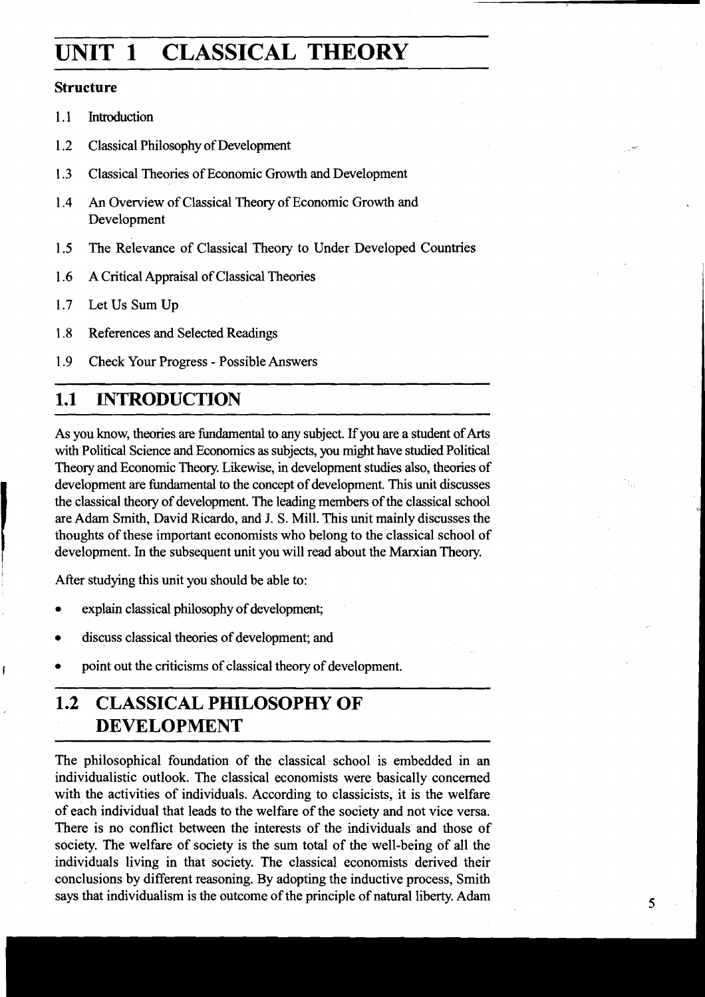# **UNIT 1 CLASSICAL THEORY**

### **Structure**

- 1.1 Introduction
- 1.2 Classical Philosophy of Development
- 1.3 Classical Theories of Economic Growth and Development
- 1.4 An Overview of Classical Theory of Economic Growth and Development
- 1.5 The Relevance of Classical Theory to Under Developed Countries
- 1.6 **A** Critical Appraisal of Classical Theories
- 1.7 Let Us Sum Up
- 1.8 References and Selected Readings
- 1.9 Check Your Progress Possible Answers

### **1.1 INTRODUCTION**

As you know, theories are fundamental to any subject. If you are a student of Arts with Political Science and Economics as subjects, you might have studied Political Theory and Economic Theory. Likewise, in development studies also, theories of development are fundamental to the concept of development. This unit discusses the classical theory of development. The leading members of the classical school are Adam Smith, David Ricardo, and J. S. Mill. This unit mainly discusses the thoughts of these important economists who belong to the classical school of development. In the subsequent unit you will read about the Marxian Theory.

After studying this unit you should be able to:

- explain classical philosophy of development;
- discuss classical theories of development; and
- point out the criticisms of classical theory of development.

## **1.2 CLASSICAL PHILOSOPHY OF DEVELOPMENT**

The philosophical foundation of the classical school is embedded in an individualistic outlook. The classical economists were basically concerned with the activities of individuals. According to classicists, it is the welfare of each individual that leads to the welfare of the society and not vice versa. There is no conflict between the interests of the individuals and those of society. The welfare of society is the sum total of the well-being of all the individuals living in that society. The classical economists derived their conclusions by different reasoning. By adopting the inductive process, Smith says that individualism is the outcome of the principle of natural liberty. Adam 5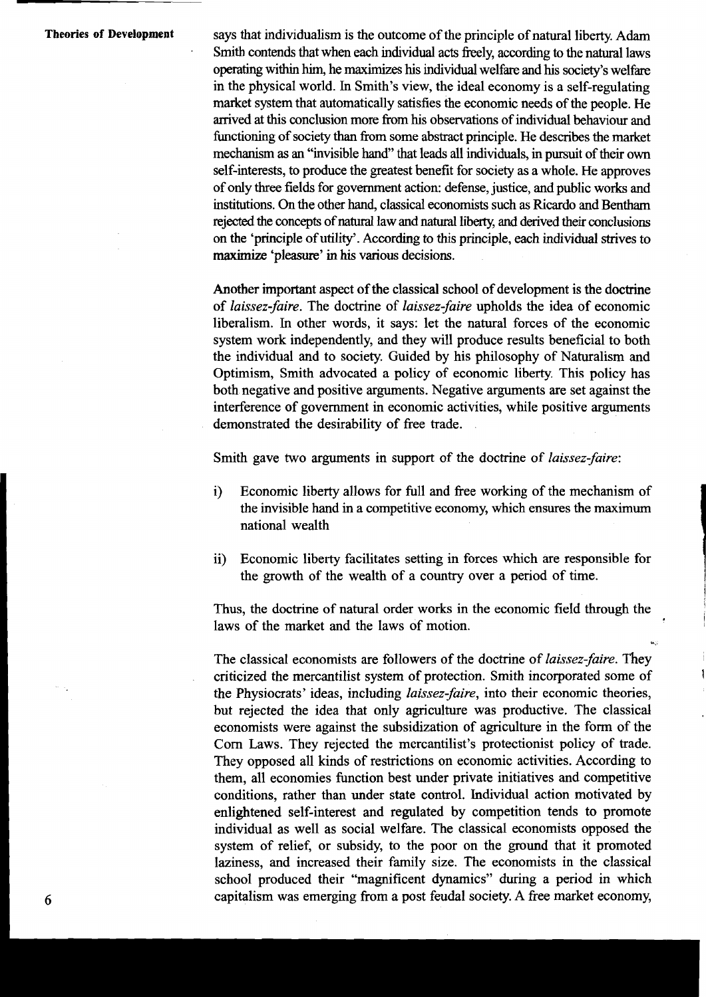**Theories of Development** says that individualism is the outcome of the principle of natural liberty. Adam Smith contends that when each individual acts freely, according to the natural laws operating within him, he maximizes his individual welfare and his society's welfare in the physical world. In Smith's view, the ideal economy is a self-regulating market system that automatically satisfies the economic needs of the people. He arrived at this conclusion more from his observations of individual behaviour and functioning of society **than** from some abstract principle. He describes the market mechanism as an "invisible hand'' that leads all individuals, in pursuit of their own self-interests, to produce the greatest benefit for society as a whole. He approves of only three fields for government action: defense, justice, and public works and institutions. **On** the other hand, classical economists such **as** Ricardo and **Bentham**  rejected the concepts of natural law and natural liberty, and derived their conclusions on the 'principle of utility'. According to this principle, each individual strives to **maximize** 'pleasure' in his various decisions.

> Another important aspect of the classical school of development is the doctrine of laissez-faire. The doctrine of laissez-faire upholds the idea of economic liberalism. In other words, it says: let the natural forces of the economic system work independently, and they will produce results beneficial to both the individual and to society. Guided by his philosophy of Naturalism and Optimism, Smith advocated a policy of economic liberty. This policy has both negative and positive arguments. Negative arguments are set against the interference of government in economic activities, while positive arguments demonstrated the desirability of free trade.

Smith gave two arguments in support of the doctrine of *laissez-faire*:

- i) Economic liberty allows for full and free working of the mechanism of the invisible hand in a competitive economy, which ensures the maximum national wealth
- ii) Economic liberty facilitates setting in forces which are responsible for the growth of the wealth of a country over a period of time.

Thus, the doctrine of natural order works in the economic field through the laws of the market and the laws of motion.

The classical economists are followers of the doctrine of laissez-faire. They criticized the mercantilist system of protection. Smith incorporated some of **<sup>1</sup>** the Physiocrats' ideas, including laissez-faire, into their economic theories, but rejected the idea that only agriculture was productive. The classical economists were against the subsidization of agriculture in the form of the Corn Laws. They rejected the mercantilist's protectionist policy of trade. They opposed all kinds of restrictions on economic activities. According to them, all economies function best under private initiatives and competitive conditions, rather than under state control. Individual action motivated by enlightened self-interest and regulated by competition tends to promote individual as well as social welfare. The classical economists opposed the system of relief, or subsidy, to the poor on the ground that it promoted laziness, and increased their family size. The economists in the classical school produced their "magnificent dynamics" during a period in which **6** capitalism was emerging fiom a post feudal society. A free market economy,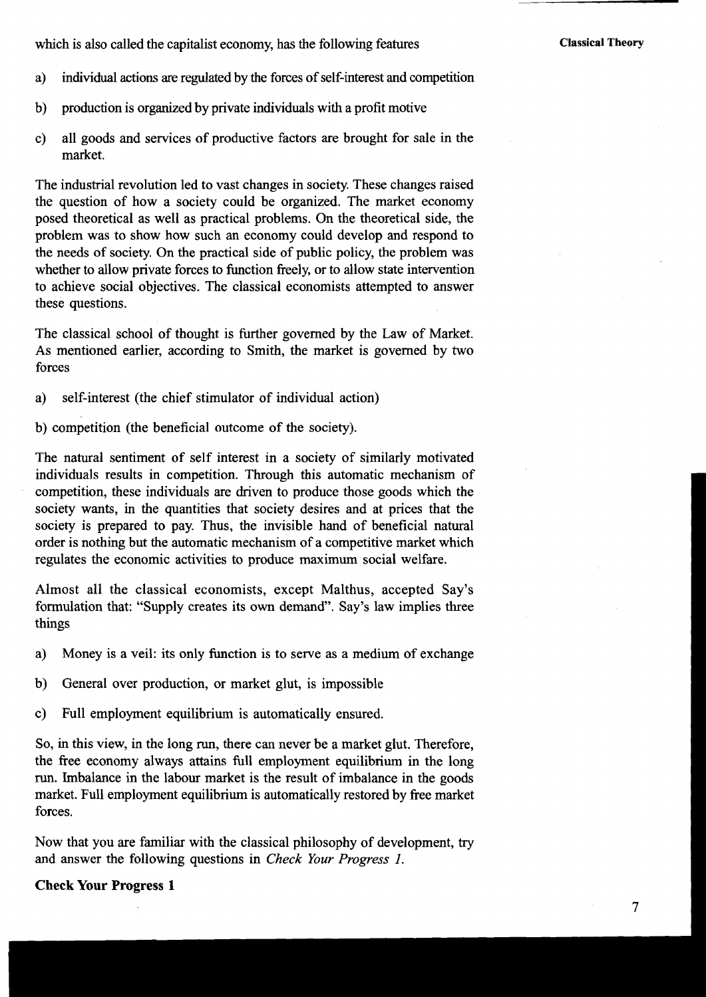which is also called the capitalist economy, has the following features

- a) individual actions are regulated by the forces of self-interest and competition
- b) production is organized by private individuals with a profit motive
- c) all goods and services of productive factors are brought for sale in the market.

The industrial revolution led to vast changes in society. These changes raised the question of how a society could be organized. The market economy posed theoretical as well as practical problems. On the theoretical side, the problem was to show how such **an** economy could develop and respond to the needs of society. On the practical side of public policy, the problem was whether to allow private forces to function freely, or to allow state intervention to achieve social objectives. The classical economists attempted to answer these questions.

The classical school of thought is further governed by the Law of Market. As mentioned earlier, according to Smith, the market is governed by two forces

a) self-interest (the chief stimulator of individual action)

b) competition (the beneficial outcome of the society).

The natural sentiment of self interest in a society of similarly motivated individuals results in competition. Through this automatic mechanism of competition, these individuals are driven to produce those goods which the society wants, in the quantities that society desires and at prices that the society is prepared to pay. Thus, the invisible hand of beneficial natural order is nothing but the automatic mechanism of a competitive market which regulates the economic activities to produce maximum social welfare.

Almost all the classical economists, except Malthus, accepted Say's formulation that: "Supply creates its own demand". Say's law implies three things

- **a)** Money is a veil: its only function is to serve as a medium of exchange
- b) General over production, or market glut, is impossible
- c) Full employment equilibrium is automatically ensured.

So, in this view, in the long run, there can never be a market glut. Therefore, the free economy always attains full employment equilibrium in the long run. Imbalance in the labour market is the result of imbalance in the goods market. Full employment equilibrium is automatically restored by free market forces.

Now that you are familiar with the classical philosophy of development, try and answer the following questions in *Check Your Progress I.* 

#### **Check Your Progress 1**

 $\overline{\tau}$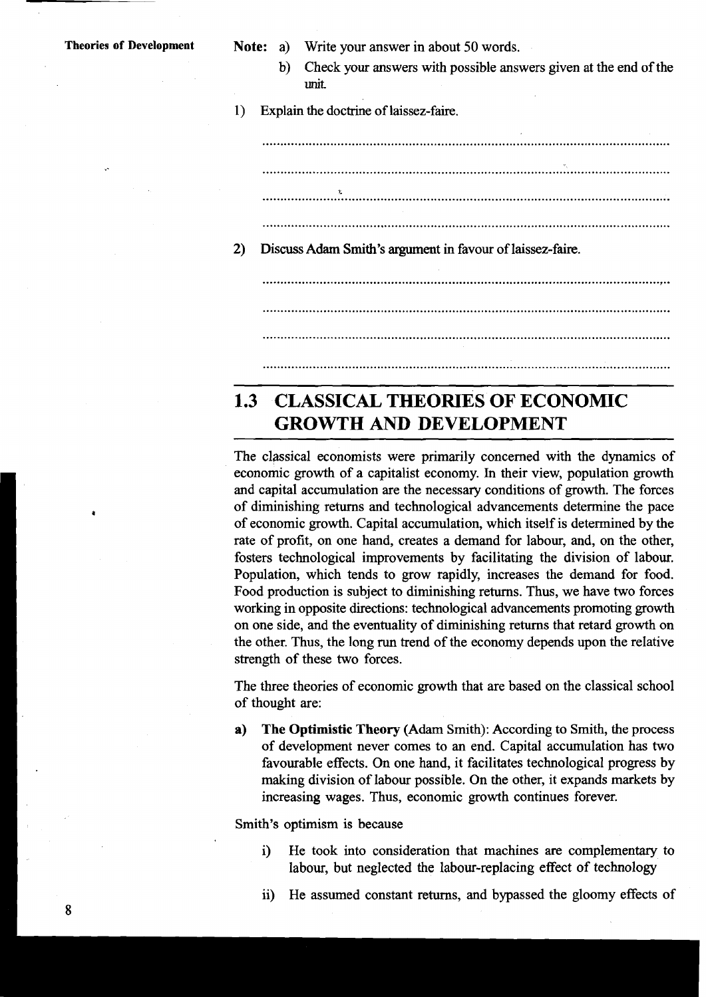- 
- **Theories of Development Note:** a) Write your answer in about 50 words.
	- b) Check your answers with possible answers given at the end of the unit.

I) Explain the doctrine of laissez-faire.

2) Discuss Adam Smith's argument in favour of laissez-faire.

### **CLASSICAL THEORIES OF ECONOMIC**   $1.3$ **GROWTH AND DEVELOPMENT**

The classical economists were primarily concerned with the dynamics of economic growth of a capitalist economy. In their view, population growth and capital accumulation are the necessary conditions of growth. The forces of diminishing returns and technological advancements determine the pace of economic growth. Capital accumulation, which itself is determined by the rate of profit, on one hand, creates a demand for labour, and, on the other, fosters technological improvements by facilitating the division of labour. Population, which tends to grow rapidly, increases the demand for food. Food production is subject to diminishing returns. Thus, we have two forces working in opposite directions: technological advancements promoting growth on one side, and the eventuality of diminishing returns that retard growth on the other. Thus, the long **run** trend of the economy depends upon the relative strength of these two forces.

The three theories of economic growth that are based on the classical school of thought are:

**a) The Optimistic Theory** (Adam Smith): According to Smith, the process of development never comes to an end. Capital accumulation has two favourable effects. On one hand, it facilitates technological progress by making division of labour possible. On the other, it expands markets by increasing wages. Thus, economic growth continues forever.

Smith's optimism is because

- i) He took into consideration that machines are complementary to labour, but neglected the labour-replacing effect of technology
- ii) He assumed constant returns, and bypassed the gloomy effects of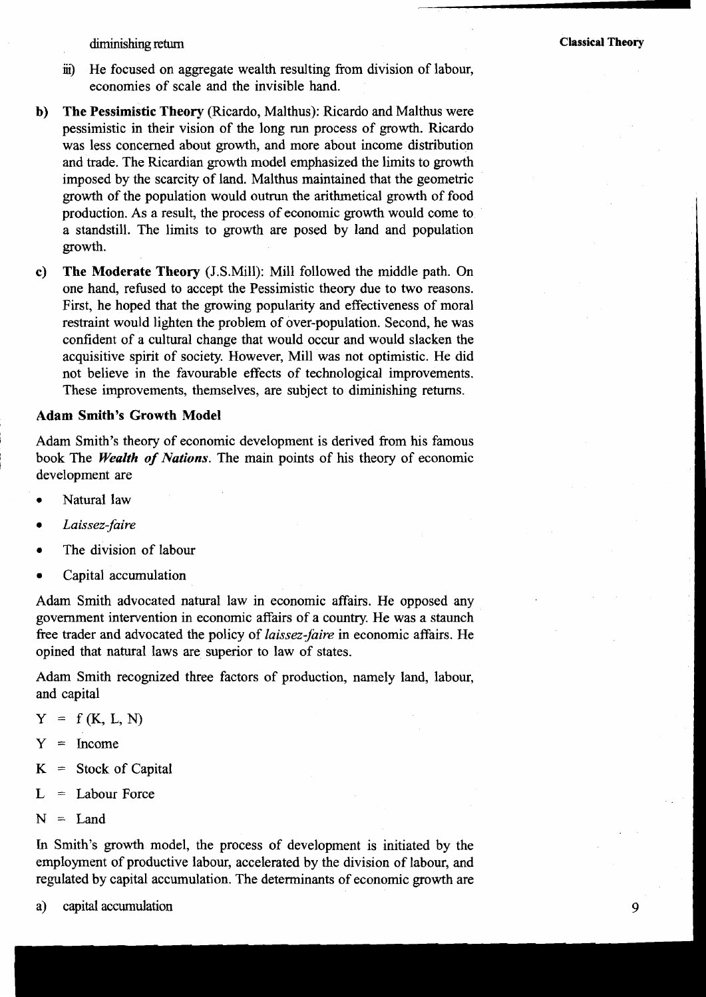diminishing return

- ii) He focused on aggregate wealth resulting from division of labour, economies of scale and the invisible hand.
- **b) The Pessimistic Theory** (Ricardo, Malthus): Ricardo and Malthus were pessimistic in their vision of the long run process of growth. Ricardo was less concerned about growth, and more about income distribution and trade. The Ricardian growth model emphasized the limits to growth imposed by the scarcity of land. Malthus maintained that the geometric growth of the population would outrun the arithmetical growth of food production. As a result, the process of economic growth would come to a standstill. The limits to growth are posed by land and population growth.
- **c) The Moderate Theory** (J.S.Mi11): Mill followed the middle path. On one hand, refused to accept the Pessimistic theory due to two reasons. First, he hoped that the growing popularity and effectiveness of moral restraint would lighten the problem of over-population. Second, he was confident of a cultural change that would occur and would slacken the acquisitive spirit of society. However, Mill was not optimistic. He did not believe in the favourable effects of technological improvements. These improvements, themselves, are subject to diminishing returns.

#### **Adam Smith's Growth Model**

Adam Smith's theory of economic development is derived from his famous book The *Wealth* of *Nations.* The main points of his theory of economic development are

- Natural law
- *Laissez-faire*
- The division of labour
- Capital accumulation  $\bullet$

Adam Smith advocated natural law in economic affairs. He opposed any government intervention in economic affairs of a country. He was a staunch free trader and advocated the policy of *laissez-jaire* in economic affairs. He opined that natural laws are superior to law of states.

Adam Smith recognized three factors of production, namely land, labour, and capital

- $Y = f(K, L, N)$
- $Y = Income$
- $K =$  Stock of Capital
- $L =$  Labour Force
- $N =$  Land

In Smith's growth model, the process of development is initiated by the employment of productive labour, accelerated by the division of labour, and regulated by capital accumulation. The determinants of economic growth are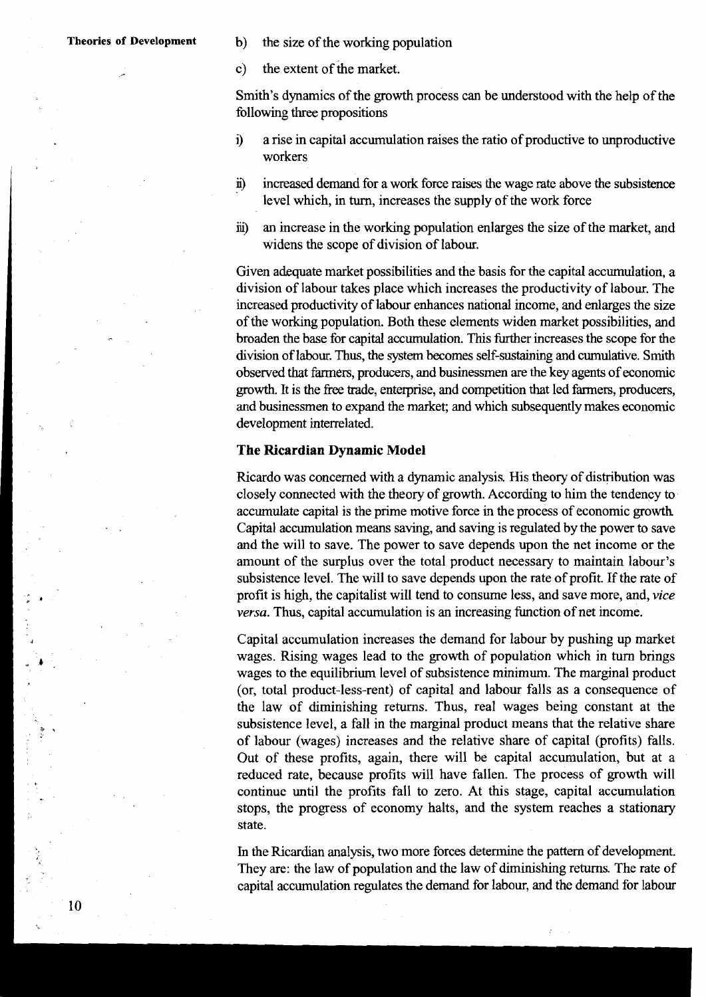- **Theories of Development** b) the size of the working population
	- c) the extent of ihe market.

Smith's dynamics of the growth process can be understood with the help of the following three propositions

- **9** a rise in capital accumulation raises the ratio of productive to unproductive workers
- i) increased demand for a work force raises the wage rate above the subsistence level which, in turn, increases the supply of the work force
- ii) an increase in the working population enlarges the size of the market, and widens the scope of division of labour.

Given adequate market possibilities and the basis for the capital accumulation, a division of labour takes place which increases the productivity of labour. The increased productivity of labour enhances national income, and enlarges the size of the working population. Both these elements widen market possibilities, and broaden the base for capital accumulation. This further increases the scope for the division of labour. Thus, the system becomes self-sustaining and cumulative. Smith observed that farmers, producers, and businessmen are the key agents of economic growth. It is the free trade, enterprise, and competition that led farmers, producers, and businessmen to expand the market; and which subsequently makes economic development interrelated. and businessmen to expand the mare<br>development interrelated.<br>**I The Ricardian Dynamic Model**<br>Ricardo was concerned with a dyn

Ricardo was concerned with a dynamic analysis. His theory of distribution was closely connected with the theory of growth. According to him the tendency to accumulate capital is the prime motive force in the process of economic growth Capital accumulation means saving, and saving is regulated by the power to save and the will to save. The power to save depends upon the net income or the amount of the surplus over the total product necessary to maintain labour's subsistence level. The will to save depends upon the rate of profit. If the rate of profit is high, the capitalist will tend to consume less, and save more, and, **vice versa.** Thus, capital accumulation is an increasing function of net income.

Capital accumulation increases the demand for labour by pushing up market wages. Rising wages lead to the growth of population which in turn brings wages to the equilibrium level of subsistence minimum. The marginal product (or, total product-less-rent) of capital and labour falls as a consequence of the law of diminishing returns. Thus, real wages being constant at the subsistence level, a fall in the marginal product means that the relative share of labour (wages) increases and the relative share of capital (profits) falls. Out of these profits, again, there will be capital accumulation, but at a reduced rate, because profits will have fallen. The process of growth will continue until the profits fall to zero. At this stage, capital accumulation stops, the progress of economy halts, and the system reaches a stationary state.

In the Ricardian analysis, two more forces determine the pattern of development. They are: the law of population and the law of diminishing returns. The rate of capital accumulation regulates the demand for labour, and the demand for labour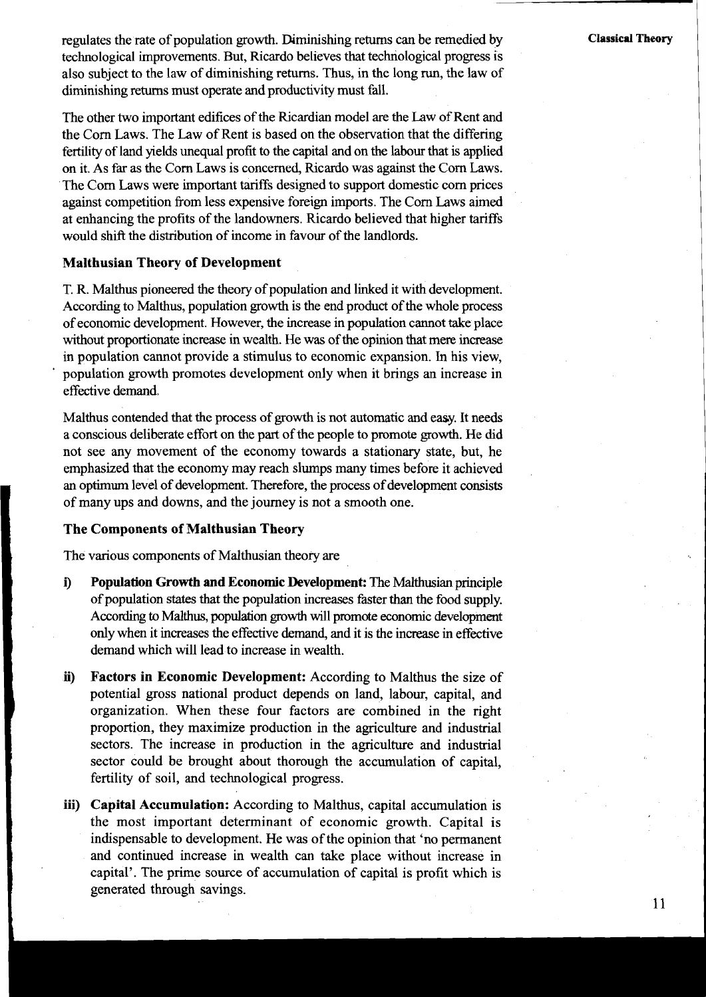regulates the rate of population growth. Diminishing returns can be remedied by technological improvements. But, Ricardo believes that technological progress is also subject to the law of diminishing returns. Thus, in the long run, the law of diminishing returns must operate and productivity must fall.

The other two important edifices of the Ricardian model are the Law of Rent and the Corn Laws. The Law of Rent is based on the observation that the differing fertility of land yields unequal profit to the capital and on the labour that is applied on it. As far as the Corn Laws is concerned, Ricardo was against the Corn Laws. The Corn Laws were important tariffs designed to support domestic corn prices against competition from less expensive foreign imports. The Corn Laws aimed at enhancing the profits of the landowners. Ricardo believed that higher tariffs would shift the distribution of income in favour of the landlords.

#### **Malthusian Theory of Development**

T. R. Malthus pioneered the theory of population and linked it with development. According to Malthus, population growth is the end product of the whole process of economic development. However, the increase in population cannot take place without proportionate increase in wealth. He was of the opinion that mere increase in population cannot provide a stimulus to economic expansion. In his view, population growth promotes development only when it brings an increase in effective demand.

Malthus contended that the process of growth is not automatic and easy. It needs a conscious deliberate effort on the part of the people to promote growth. He did not see any movement of the economy towards a stationary state, but, he emphasized that the economy may reach slumps many times before it achieved an optimum level of development. Therefore, the process of development consists of many ups and downs, and the journey is not a smooth one.

#### **The Components of Malthusian Theory**

The various components of Malthusian theory are

- **<sup>I</sup>i) Population Growth and Economic Development:** The Malthusian principle of population states that the population increases faster than the food supply. According to Malthus, population growth will promote economic development only when it increases the effective demand, and it is the increase in effective demand which will lead to increase in wealth.
- ii) Factors in Economic Development: According to Malthus the size of potential gross national product depends on land, labour, capital, and organization. When these four factors are combined in the right potential gross national product depends on land, labour, capital, and organization. When these four factors are combined in the right proportion, they maximize production in the agriculture and industrial sectors. The increase in production in the agriculture and industrial sector could be brought about thorough the accumulation of capital, fertility of soil, and technological progress.
	- **iii) Capital Accumulation:** According to Malthus, capital accumulation is the most important determinant of economic growth. Capital is indispensable to development. He was of the opinion that 'no permanent and continued increase in wealth can take place without increase in capital'. The prime source of accumulation of capital is profit which is generated through savings.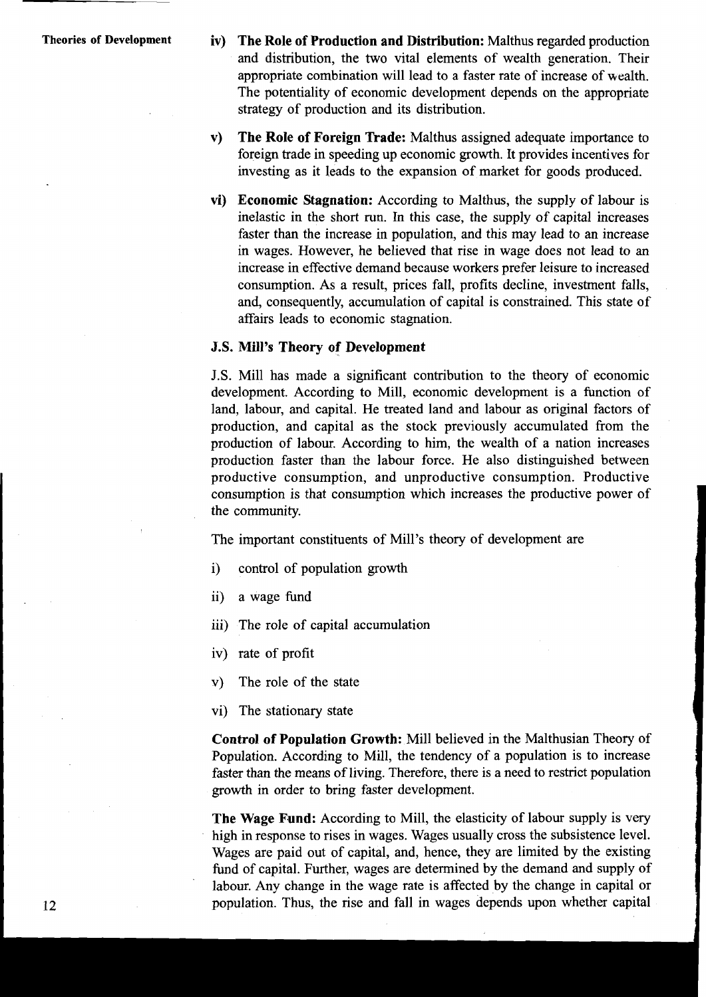- **Theories of Development iv) The Role of Production and Distribution:** Malthus regarded production and distribution, the two vital elements of wealth generation. Their appropriate combination will lead to a faster rate of increase of wealth. The potentiality of economic development depends on the appropriate strategy of production and its distribution.
	- **v) The Role of Foreign Trade:** Malthus assigned adequate importance to foreign trade in speeding up economic growth. It provides incentives for investing as it leads to the expansion of market for goods produced.
	- **vi) Economic Stagnation:** According to Malthus, the supply of labour is inelastic in the short run. In this case, the supply of capital increases faster than the increase in population, and this may lead to an increase in wages. However, he believed that rise in wage does not lead to an increase in effective demand because workers prefer leisure to increased consumption. As a result, prices fall, profits decline, investment falls, and, consequently, accumulation of capital is constrained. This state of affairs leads to economic stagnation.

#### **J.S. Mill's Theory of Development**

J.S. Mill has made a significant contribution to the theory of economic development. According to Mill, economic development is a function of land, labour, and capital. He treated land and labour as original factors of production, and capital as the stock previously accumulated from the production of labour. According to him, the wealth of a nation increases production faster than the labour force. He also distinguished between productive consumption, and unproductive consumption. Productive consumption is that consumption which increases the productive power of the community,

The important constituents of Mill's theory of development are

- i) control of population growth
- ii) a wage fund

iii) The role of capital accumulation

- iv) rate of profit
- v) The role of the state
- vi) The stationary state

**Control of Population Growth:** Mill believed in the Malthusian Theory of Population. According to Mill, the tendency of a population is to increase faster than the means of living. Therefore, there is a need to restrict population growth in order to bring faster development.

**The Wage Fund:** According to Mill, the elasticity of labour supply is very high in response to rises in wages. Wages usually cross the subsistence level. Wages are paid out of capital, and, hence, they are limited by the existing fund of capital. Further, wages are determined by the demand and supply of labour. Any change in the wage rate is affected by the change in capital or population. Thus, the rise and fall in wages depends upon whether capital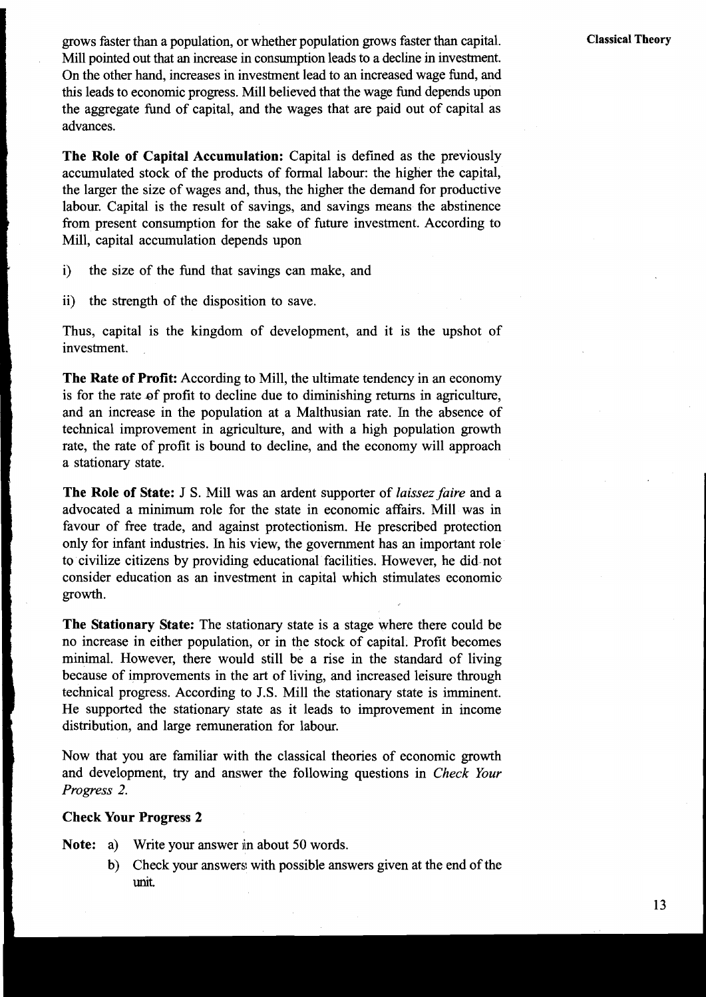grows faster than a population, or whether population grows faster than capital. Mill pointed out that an increase in consumption leads to a decline in investment. On the other hand, increases in investment lead to an increased wage fund, and this leads to economic progress. Mill believed that the wage fund depends upon the aggregate fund of capital, and the wages that are paid out of capital as advances.

<sup>I</sup>**The Role of Capital Accumulation:** Capital is defined as the previously accumulated stock of the products of formal labour: the higher the capital, the larger the size of wages and, thus, the higher the demand for productive labour. Capital is the result of savings, and savings means the abstinence from present consumption for the sake of future investment. According to Mill, capital accumulation depends upon

- i) the size of the fund that savings can make, and<br>ii) the strength of the disposition to save.
- the strength of the disposition to save.

Thus, capital is the kingdom of development, and it is the upshot of investment.

**The Rate of Profit:** According to Mill, the ultimate tendency in an economy is for the rate of profit to decline due to diminishing returns in agriculture, **1** and an increase in the population at a Malthusian rate. In the absence of , technical improvement in agriculture, and with a high population growth rate, the rate of profit is bound to decline, and the economy will approach a stationary state.

**The Role of State: J S.** Mill was an ardent supporter of *laissez faire* and a advocated a minimum role for the state in economic affairs. Mill was in favour of free trade, and against protectionism. He prescribed protection only for infant industries. In his view, the government has an important role to civilize citizens by providing educational facilities. However, he did not consider education as an investment in capital which stimulates economic. growth.

**The Stationary State:** The stationary state is a stage where there could be no increase in either population, or in the stock of capital. Profit becomes minimal. However, there would still be a rise in the standard of living because of improvements in the art of living, and increased leisure through technical progress. According to J.S. Mill the stationary state is imminent. He supported the stationary state as it leads to improvement in income distribution, and large remuneration for labour.

Now that you are familiar with the classical theories of economic growth and development, try and answer the following questions in *Check Your Progress 2.* 

#### **Check Your Progress 2**

**Note:** a) Write your answer in about 50 words.

b) Check your answers with possible answers given at the end of the unit.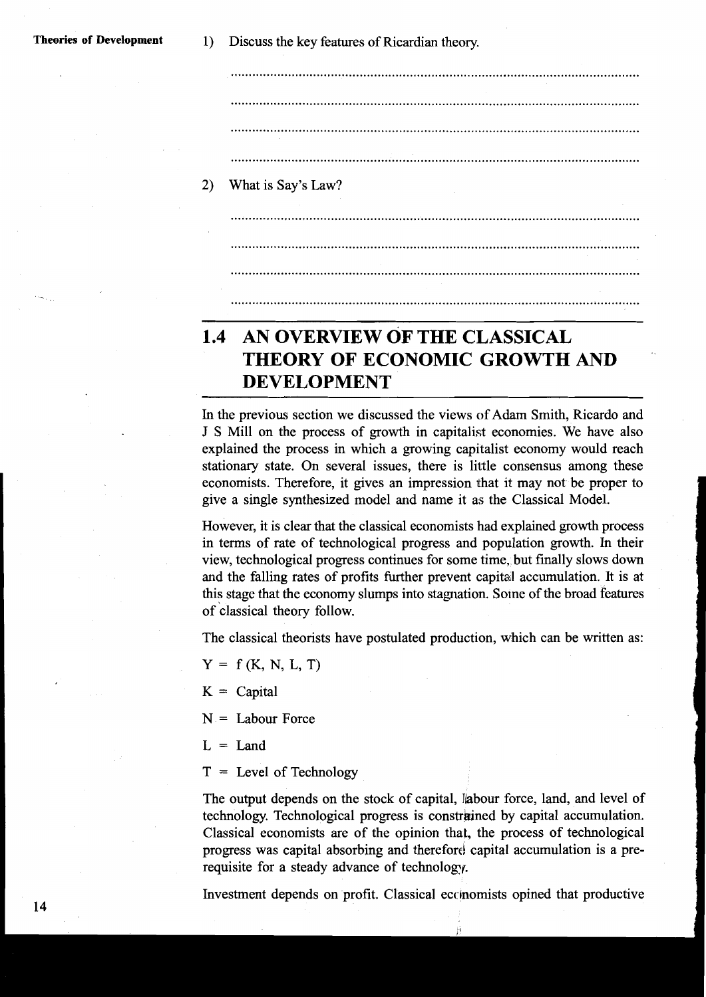.................................................................................................................. 2) What is Say's Law? 

### **1.4 AN OVERVIEW OF THE CLASSICAL THEORY OF ECONOMIC GROWTH AND DEVELOPMENT**

In the previous section we discussed the views of Adam Smith, Ricardo and J S Mill on the process of growth in capitalist economies. We have also explained the process in which a growing capitalist economy would reach stationary state. On several issues, there is little consensus among these economists. Therefore, it gives an impression that it may not be proper to give a single synthesized model and name it as the Classical Model.

However, it is clear that the classical economists had explained growth process in terms of rate of technological progress and population growth. In their view, technological progress continues for some time. but finally slows down and the falling rates of profits further prevent capital accumulation. It is at this stage that the economy slumps into stagnation. Sotne of the broad features of classical theory follow.

The classical theorists have postulated production, which can be written as:

 $Y = f(K, N, L, T)$ 

 $K =$  Capital

 $N =$  Labour Force

 $L =$ Land

 $T =$  Level of Technology

The output depends on the stock of capital, labour force, land, and level of technology. Technological progress is constrained by capital accumulation. Classical economists are of the opinion that, the process of technological progress was capital absorbing and therefore capital accumulation is a prerequisite for a steady advance of technology.

Investment depends on profit. Classical eccinomists opined that productive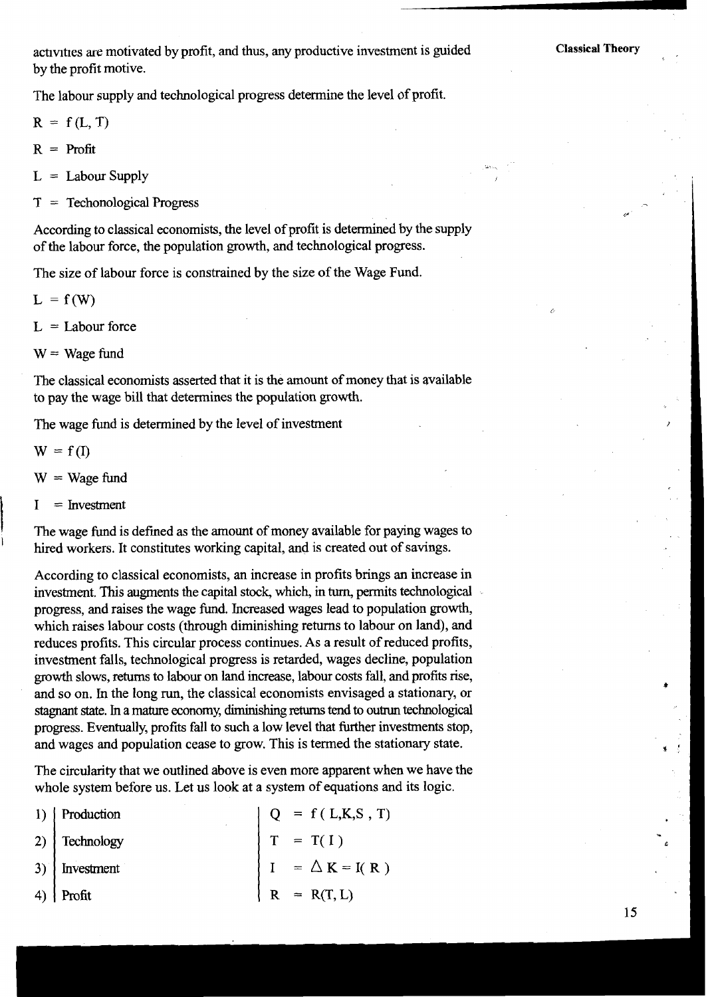activities are motivated by profit, and thus, any productive investment is guided by the profit motive.

The labour supply and technological progress determine the level of profit.

 $R = f(L, T)$ 

 $R =$  Profit

 $L =$  Labour Supply

**T** = Techonological Progress

According to classical economists, the level of profit is determined by the supply of the labour force, the population growth, and technological progress.

The size of labour force is constrained by the size of the Wage Fund.

 $L = f(W)$ 

 $L =$ Labour force

 $W = Wage$  fund

The classical economists asserted that it is the amount of money that is available to pay the wage bill that determines the population growth.

The wage fund is determined by the level of investment

$$
W = f(I)
$$

 $W = Wage$  fund

 $I =$  Investment

The wage fimd is defined **as** the amount of money available for paying wages to hired workers. It constitutes working capital, and is created out of savings.

According to classical economists, an increase in profits brings an increase in investment. This augments the capital stock, which, in turn, permits technological progress, and raises the wage fund. Increased wages lead to population growth, which raises labour costs (through diminishing returns to labour on land), and reduces profits. This circular process continues. As a result of reduced profits, investment falls, technological progress is retarded, wages decline, population **growth** slows, returns to labour on land increase, labour costs fall, and profits rise, and so on. In the long run, the classical economists envisaged a stationary, or stagnant state. In a mature economy, diminishing returns tend to outrun technological progress. Eventually, profits fall to such a low level that further investments stop, and wages and population cease to grow. This is termed the stationary state.

The circularity that we outlined above is even more apparent when we have the whole system before us. Let us look at a system of equations and its logic.

| 1)   Production       |  | $Q = f(L,K,S,T)$      |
|-----------------------|--|-----------------------|
| 2) $\vert$ Technology |  | $T = T(I)$            |
| $3)$   Investment     |  | $I = \Delta K = I(R)$ |
| 4) Profit             |  | $R = R(T, L)$         |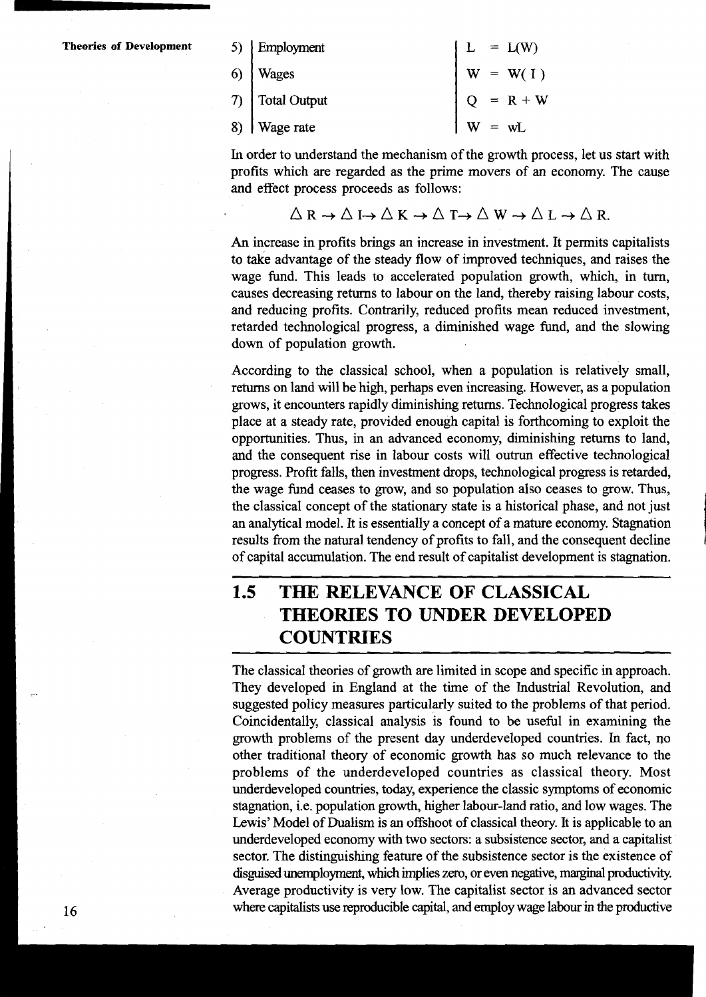| 5) Employment          |                      | $L = L(W)$  |
|------------------------|----------------------|-------------|
| 6)   Wages             |                      | $W = W(1)$  |
| 7) $\int$ Total Output |                      | $Q = R + W$ |
| 8) Wage rate           | $\vert w = wL \vert$ |             |

In order to understand the mechanism of the growth process, let us start with profits which are regarded as the prime movers of an economy. The cause and effect process proceeds as follows:

$$
\triangle R \to \triangle I \to \triangle K \to \triangle T \to \triangle W \to \triangle L \to \triangle R.
$$

**An** increase in profits brings an increase in investment. It permits capitalists to take advantage of the steady flow of improved techniques, and raises the wage fund. This leads to accelerated population growth, which, in turn, causes decreasing returns to labour on the land, thereby raising labour costs, and reducing profits. Contrarily, reduced profits mean reduced investment, retarded technological progress, a diminished wage fund, and the slowing down of population growth.

According to the classical school, when a population is relatively small, returns on land will be high, perhaps even increasing. However, as a population grows, it encounters rapidly diminishing returns. Technological progress takes place at a steady rate, provided enough capital is forthcoming to exploit the opportunities. Thus, in an advanced economy, diminishing returns to land, and the consequent rise in labour costs will outrun effective technological progress. Profit falls, then investment drops, technological progress is retarded, the wage fund ceases to grow, and so population also ceases to grow. Thus, the classical concept of the stationary state is a historical phase, and not just an analytical model. It is essentially a concept of a mature economy. Stagnation results from the natural tendency of profits to fall, and the consequent decline of capital accumulation. The end result of capitalist development is stagnation.

### **1.5 THE RELEVANCE OF CLASSICAL THEORIES TO UNDER DEVELOPED COUNTRIES**

The classical theories of growth are limited in scope and specific in approach. They developed in England at the time of the Industrial Revolution, and suggested policy measures particularly suited to the problems of that period. Coincidentally, classical analysis is found to be useful in examining the growth problems of the present day underdeveloped countries. In fact, no other traditional theory of economic growth has so much relevance to the problems of the underdeveloped countries as classical theory. Most underdeveloped countries, today, experience the classic symptoms of economic stagnation, i.e. population growth, higher labour-land ratio, and low wages. The Lewis' Model of Dualism is an offshoot of classical theory. It is applicable to an underdeveloped economy with two sectors: a subsistence sector, and a capitalist sector. The distinguishing feature of the subsistence sector is the existence of disguised unemployment, which implies zero, or even negative, marginal productivity. Average productivity is very low. The capitalist sector is an advanced sector **16** where capitalists use reproducible capital, and employ wage labour in the productive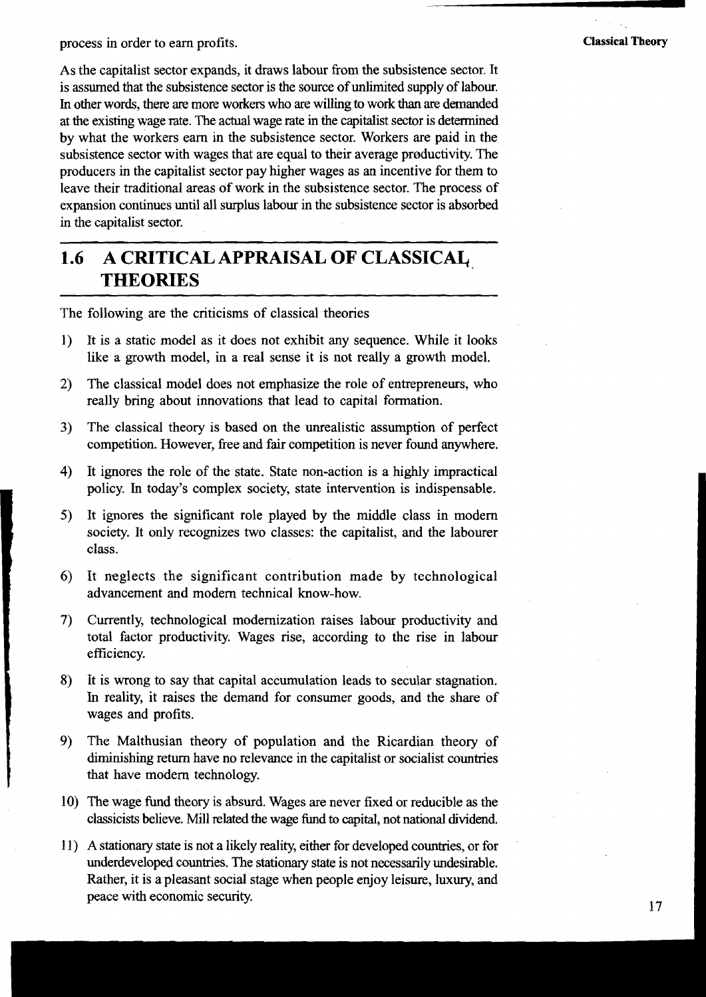process in order to earn profits. **Classical Theory** 

As the capitalist sector expands, it draws labour from the subsistence sector. It is assumed that the subsistence sector is the source of unlimited supply of labour. In other words, there are more workers who are willing to work *than* are demanded at the existing wage rate. The actual wage rate in the capitalist sector is determined by what the workers earn in the subsistence sector. Workers are paid in the subsistence sector with wages that are equal to their average productivity. The producers in the capitalist sector pay higher wages as an incentive for them to leave their traditional areas of work in the subsistence sector. The process of expansion continues until all surplus labour in the subsistence sector is absorbed in the capitalist sector.

### **1.6 A CRITICAL APPRAISAL OF CLASSICAI, THEORIES**

The following are the criticisms of classical theories

- 1) It is a static model as it does not exhibit any sequence. While it looks like a growth model, in a real sense it is not really a growth model.
- 2) The classical model does not emphasize the role of entrepreneurs, who really bring about innovations that lead to capital formation.
- **3)** The classical theory is based on the unrealistic assumption of perfect competition. However, free and fair competition is never found anywhere.
- 4) It ignores the role of the state. State non-action is a highly impractical policy. In today's complex society, state intervention is indispensable.
- 5) It ignores the significant role played by the middle class in modern society. It only recognizes two classes: the capitalist, and the labourer class.
- *6)* It neglects the significant contribution made by technological advancement and modem technical know-how.
- 7) Currently, technological modernization raises labour productivity and total factor productivity. Wages rise, according to the rise in labour efficiency.
- **8)** It is wrong to say that capital accumulation leads to secular stagnation. In reality, it raises the demand for consumer goods, and the share of wages and profits.
- **9)** The Malthusian theory of population and the Ricardian theory of diminishing return have no relevance in the capitalist or socialist countries that have modem technology.
- 10) The wage fund theory is absurd. Wages are never fixed or reducible as the classicists believe. Mill related the wage fund to capital, not national dividend.
- 11) A stationary state is not a likely reality, either for developed countries, or for underdeveloped countries. The stationary state is not necessarily undesirable. Rather, it is a pleasant social stage when people enjoy leisure, luxury, and peace with economic security.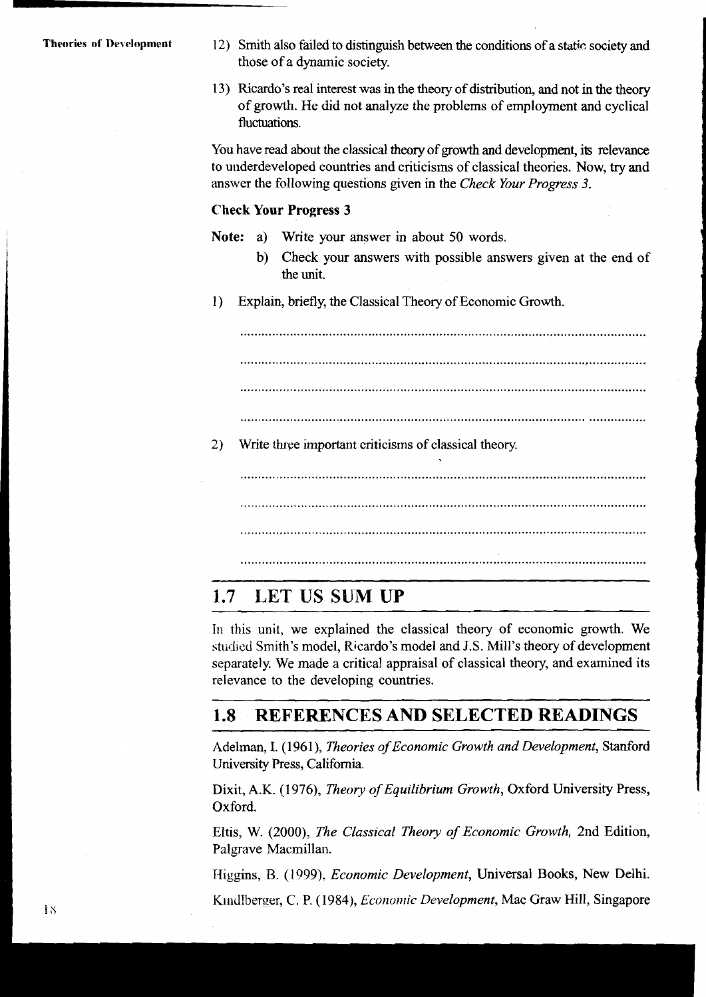- **Theories of Development** 12) Smith also failed to distinguish between the conditions of a static society and those of a dynamic society.
	- **2 3)** Ricardo's real interest was in the theory of distribution, and not in the theory of growth. He did not analyze the problems of employment and cyclical fluctuations.

You have read about the classical theory of growth and development, its relevance to underdeveloped countries and criticisms of classical theories. Now, try and answer the following questions given in the Check Your Progress 3.

#### **Check Your Progress 3**

**Note:** a) Write your answer in about 50 words.<br>b) Check your answers with possible ans

- <sup>1</sup>b) Check your answers with possible answers given at the end of **<sup>I</sup>** the unit.
- **1)** Explain, briefly, the Classical Theory of Economic Growth.

2) Write three important criticisms of classical theory.

### **1.7 LET US SUM UP**

In this unit, we explained the classical theory of economic growth. We studied Smith's model, Ricardo's model and J.S. Mill's theory of development separately. We made a critical appraisal of classical theory, and examined its relevance to the developing countries.

#### **REFERENCES AND SELECTED READINGS**  1.8

Adelman, I. (1961), *Theories of Economic Growth and Development*, Stanford University Press, California.

Dixit, A.K. (1976), Theory of Equilibrium Growth, Oxford University Press, Oxford.

Eltis, W. (2000), The Classical Theory of Economic Growth, 2nd Edition, Palgrave Macmillan.

Higgins, B. (1999), *Economic Development*, Universal Books, New Delhi.

KindIberger, C. P. (1984), *Economic Development*, Mac Graw Hill, Singapore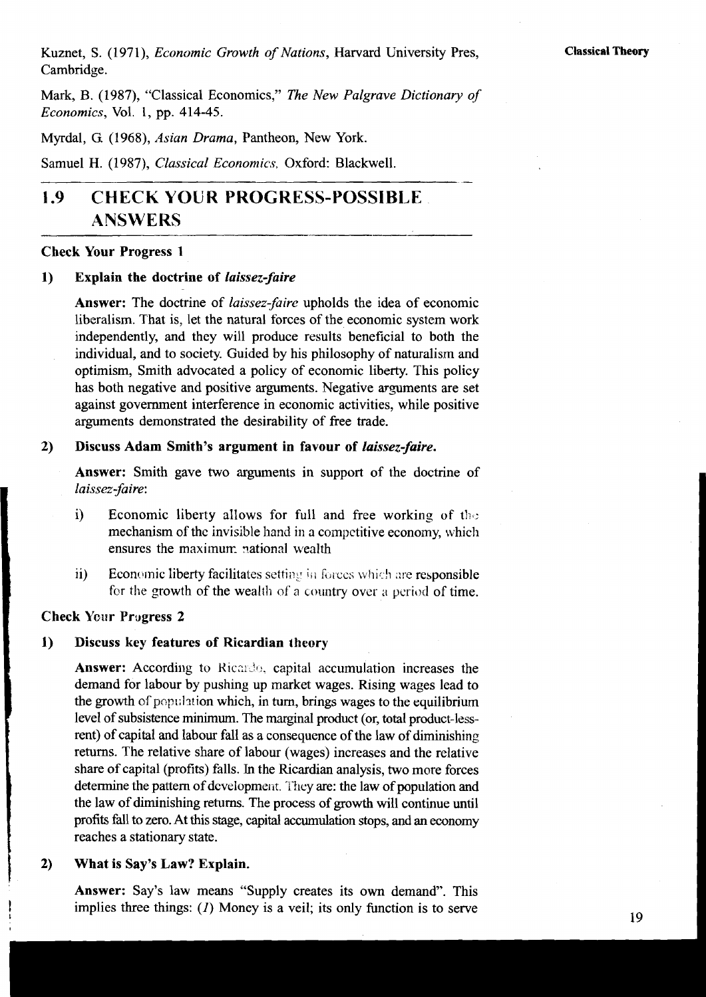Kuznet, S. (1971), Economic Growth of Nations, Harvard University Pres, Cambridge.

Mark, B. (1987), "Classical Economics," The New Palgrave Dictionary of Economics, Vol. 1, pp. 414-45.

Myrdal, G. (1968), Asian Drama, Pantheon, New York.

Samuel H. (1987), Classical Economics, Oxford: Blackwell.

### **1.9 CHECK YOUR PROGRESS-POSSIB1,E ANSWERS**

#### **Check Your Progress 1**

#### **1) Explain the doctrine of laissez-faire**

**Answer:** The doctrine of laissez-faire upholds the idea of economic liberalism. That is, let the natural forces of the economic system work independently, and they will produce results beneficial to both the individual, and to society. Guided by his philosophy of naturalism and optimism, Smith advocated a policy of economic liberty. This policy has both negative and positive arguments. Negative arguments are set against government interference in economic activities, while positive arguments demonstrated the desirability of free trade.

#### **2) Discuss Adam Smith's argument in favour of laissez-faire.**

**Answer:** Smith gave two arguments in support of the doctrine of laissez-faire:

- i) Economic liberty allows for full and free working of the mechanism of the invisible hand in a competitive economy, which ensures the maximum national wealth
- ii) Economic liberty facilitates setting in forces which are responsible for the growth of the wealth of a country over a period of time.

#### **Check Your Prugress 2**

#### **1) Discuss key features of Ricardian theory**

Answer: According to Ricardo, capital accumulation increases the demand for labour by pushing up market wages. Rising wages lead to the growth of population which, in turn, brings wages to the equilibrium level of subsistence minimum. The marginal product (or, total product-lessrent) of capital and labour fall as a consequence of the law of diminishing returns. The relative share of labour (wages) increases and the relative share of capital (profits) falls. In the Ricardian analysis, two more forces determine the pattern of development. They are: the law of population and the law of diminishing returns. The process of **growth** will continue until profits fall to zero. At this stage, capital accumulation stops, and an economy reaches a stationary state.

#### **2) What is Say's Law? Explain.**

**Answer:** Say's law means "Supply creates its own demand". This implies three things: (1) Money is a veil; its only function is to serve